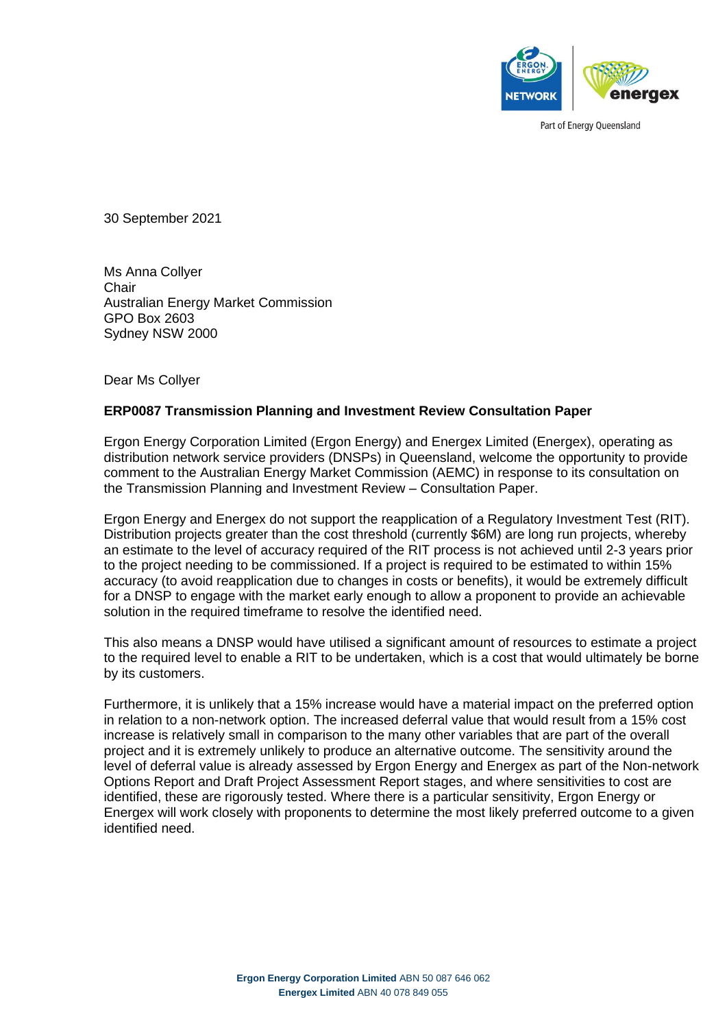

Part of Energy Queensland

30 September 2021

Ms Anna Collyer **Chair** Australian Energy Market Commission GPO Box 2603 Sydney NSW 2000

Dear Ms Collyer

#### **ERP0087 Transmission Planning and Investment Review Consultation Paper**

Ergon Energy Corporation Limited (Ergon Energy) and Energex Limited (Energex), operating as distribution network service providers (DNSPs) in Queensland, welcome the opportunity to provide comment to the Australian Energy Market Commission (AEMC) in response to its consultation on the Transmission Planning and Investment Review – Consultation Paper.

Ergon Energy and Energex do not support the reapplication of a Regulatory Investment Test (RIT). Distribution projects greater than the cost threshold (currently \$6M) are long run projects, whereby an estimate to the level of accuracy required of the RIT process is not achieved until 2-3 years prior to the project needing to be commissioned. If a project is required to be estimated to within 15% accuracy (to avoid reapplication due to changes in costs or benefits), it would be extremely difficult for a DNSP to engage with the market early enough to allow a proponent to provide an achievable solution in the required timeframe to resolve the identified need.

This also means a DNSP would have utilised a significant amount of resources to estimate a project to the required level to enable a RIT to be undertaken, which is a cost that would ultimately be borne by its customers.

Furthermore, it is unlikely that a 15% increase would have a material impact on the preferred option in relation to a non-network option. The increased deferral value that would result from a 15% cost increase is relatively small in comparison to the many other variables that are part of the overall project and it is extremely unlikely to produce an alternative outcome. The sensitivity around the level of deferral value is already assessed by Ergon Energy and Energex as part of the Non-network Options Report and Draft Project Assessment Report stages, and where sensitivities to cost are identified, these are rigorously tested. Where there is a particular sensitivity, Ergon Energy or Energex will work closely with proponents to determine the most likely preferred outcome to a given identified need.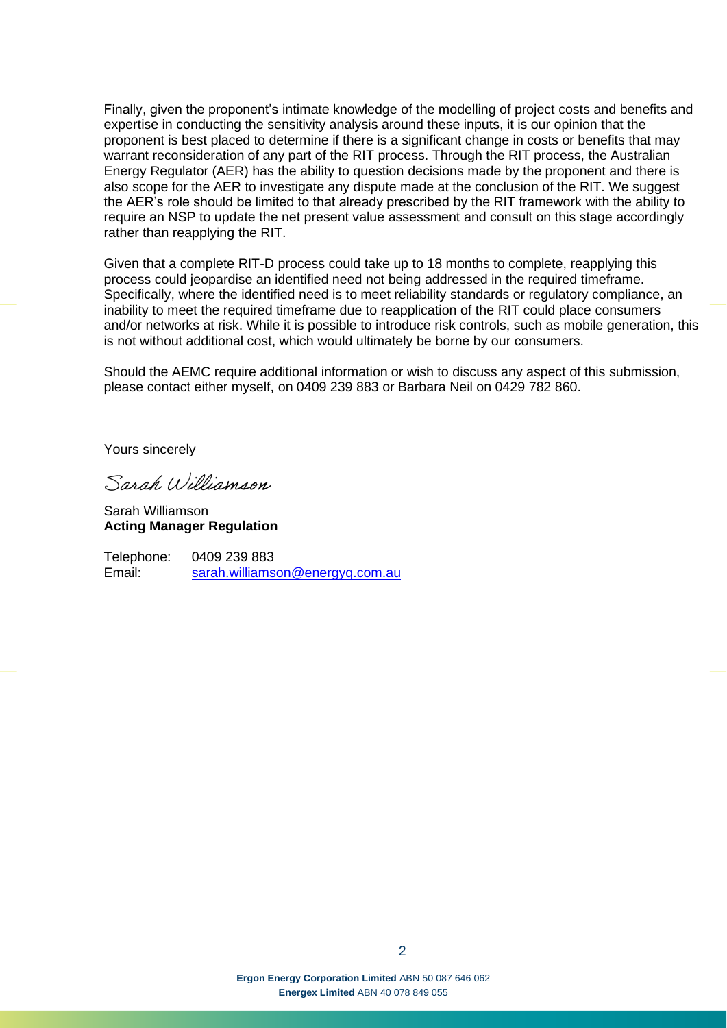Finally, given the proponent's intimate knowledge of the modelling of project costs and benefits and expertise in conducting the sensitivity analysis around these inputs, it is our opinion that the proponent is best placed to determine if there is a significant change in costs or benefits that may warrant reconsideration of any part of the RIT process. Through the RIT process, the Australian Energy Regulator (AER) has the ability to question decisions made by the proponent and there is also scope for the AER to investigate any dispute made at the conclusion of the RIT. We suggest the AER's role should be limited to that already prescribed by the RIT framework with the ability to require an NSP to update the net present value assessment and consult on this stage accordingly rather than reapplying the RIT.

Given that a complete RIT-D process could take up to 18 months to complete, reapplying this process could jeopardise an identified need not being addressed in the required timeframe. Specifically, where the identified need is to meet reliability standards or regulatory compliance, an inability to meet the required timeframe due to reapplication of the RIT could place consumers and/or networks at risk. While it is possible to introduce risk controls, such as mobile generation, this is not without additional cost, which would ultimately be borne by our consumers.

Should the AEMC require additional information or wish to discuss any aspect of this submission, please contact either myself, on 0409 239 883 or Barbara Neil on 0429 782 860.

Yours sincerely

Sarah Williamson

Sarah Williamson **Acting Manager Regulation**

Telephone: 0409 239 883 Email: [sarah.williamson@energyq.com.au](mailto:sarah.williamson@energyq.com.au)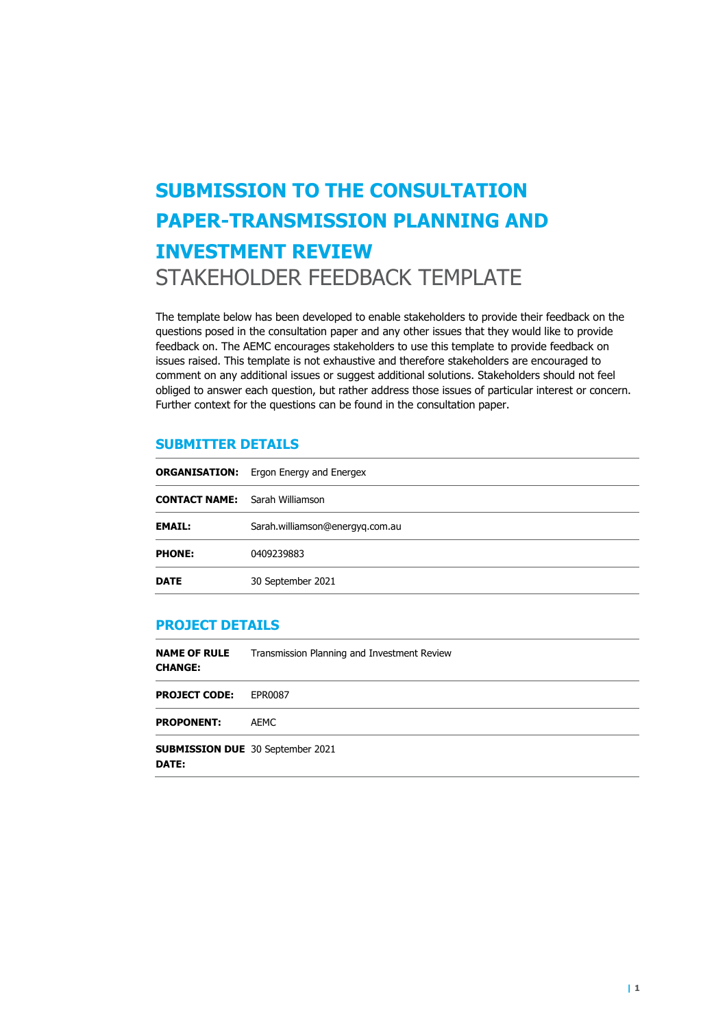# **SUBMISSION TO THE CONSULTATION PAPER-TRANSMISSION PLANNING AND INVESTMENT REVIEW**  STAKEHOLDER FEEDBACK TEMPLATE

The template below has been developed to enable stakeholders to provide their feedback on the questions posed in the consultation paper and any other issues that they would like to provide feedback on. The AEMC encourages stakeholders to use this template to provide feedback on issues raised. This template is not exhaustive and therefore stakeholders are encouraged to comment on any additional issues or suggest additional solutions. Stakeholders should not feel obliged to answer each question, but rather address those issues of particular interest or concern. Further context for the questions can be found in the consultation paper.

#### **SUBMITTER DETAILS**

|                                       | <b>ORGANISATION:</b> Ergon Energy and Energex |
|---------------------------------------|-----------------------------------------------|
| <b>CONTACT NAME:</b> Sarah Williamson |                                               |
| <b>EMAIL:</b>                         | Sarah.williamson@energyq.com.au               |
| <b>PHONE:</b>                         | 0409239883                                    |
| <b>DATE</b>                           | 30 September 2021                             |

#### **PROJECT DETAILS**

| <b>NAME OF RULE</b><br><b>CHANGE:</b>            | Transmission Planning and Investment Review |  |
|--------------------------------------------------|---------------------------------------------|--|
| <b>PROJECT CODE:</b>                             | EPR0087                                     |  |
| <b>PROPONENT:</b>                                | AEMC                                        |  |
| <b>SUBMISSION DUE</b> 30 September 2021<br>DATE: |                                             |  |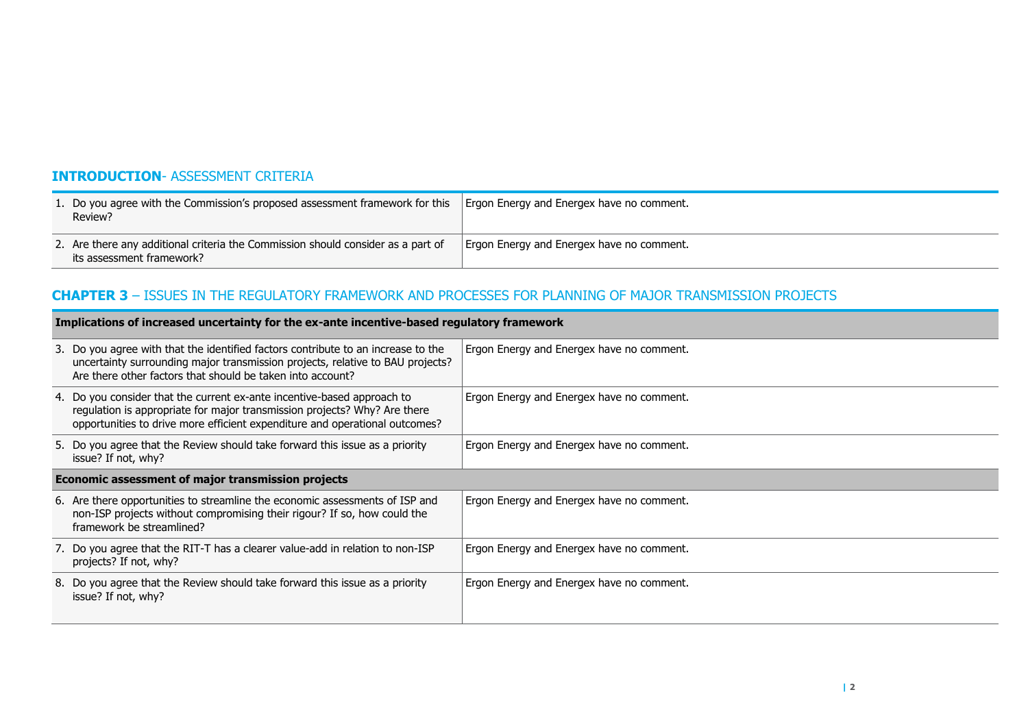## **INTRODUCTION**- ASSESSMENT CRITERIA

| 1. Do you agree with the Commission's proposed assessment framework for this<br>Review?                       | Ergon Energy and Energex have no comment. |
|---------------------------------------------------------------------------------------------------------------|-------------------------------------------|
| 2. Are there any additional criteria the Commission should consider as a part of<br>its assessment framework? | Ergon Energy and Energex have no comment. |

## **CHAPTER 3** – ISSUES IN THE REGULATORY FRAMEWORK AND PROCESSES FOR PLANNING OF MAJOR TRANSMISSION PROJECTS

| Implications of increased uncertainty for the ex-ante incentive-based regulatory framework |                                                                                                                                                                                                                                     |                                           |
|--------------------------------------------------------------------------------------------|-------------------------------------------------------------------------------------------------------------------------------------------------------------------------------------------------------------------------------------|-------------------------------------------|
|                                                                                            | 3. Do you agree with that the identified factors contribute to an increase to the<br>uncertainty surrounding major transmission projects, relative to BAU projects?<br>Are there other factors that should be taken into account?   | Ergon Energy and Energex have no comment. |
|                                                                                            | 4. Do you consider that the current ex-ante incentive-based approach to<br>regulation is appropriate for major transmission projects? Why? Are there<br>opportunities to drive more efficient expenditure and operational outcomes? | Ergon Energy and Energex have no comment. |
|                                                                                            | 5. Do you agree that the Review should take forward this issue as a priority<br>issue? If not, why?                                                                                                                                 | Ergon Energy and Energex have no comment. |
| Economic assessment of major transmission projects                                         |                                                                                                                                                                                                                                     |                                           |
|                                                                                            | 6. Are there opportunities to streamline the economic assessments of ISP and<br>non-ISP projects without compromising their rigour? If so, how could the<br>framework be streamlined?                                               | Ergon Energy and Energex have no comment. |
|                                                                                            | 7. Do you agree that the RIT-T has a clearer value-add in relation to non-ISP<br>projects? If not, why?                                                                                                                             | Ergon Energy and Energex have no comment. |
|                                                                                            | 8. Do you agree that the Review should take forward this issue as a priority<br>issue? If not, why?                                                                                                                                 | Ergon Energy and Energex have no comment. |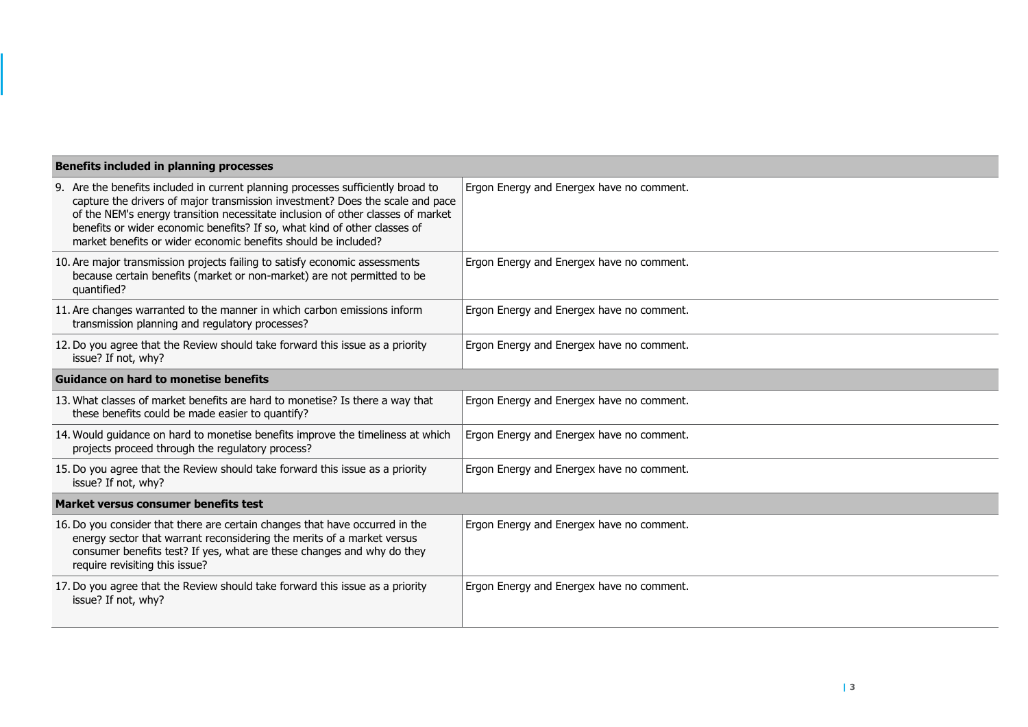| <b>Benefits included in planning processes</b>                                                                                                                                                                                                                                                                                                                                                      |                                           |  |
|-----------------------------------------------------------------------------------------------------------------------------------------------------------------------------------------------------------------------------------------------------------------------------------------------------------------------------------------------------------------------------------------------------|-------------------------------------------|--|
| 9. Are the benefits included in current planning processes sufficiently broad to<br>capture the drivers of major transmission investment? Does the scale and pace<br>of the NEM's energy transition necessitate inclusion of other classes of market<br>benefits or wider economic benefits? If so, what kind of other classes of<br>market benefits or wider economic benefits should be included? | Ergon Energy and Energex have no comment. |  |
| 10. Are major transmission projects failing to satisfy economic assessments<br>because certain benefits (market or non-market) are not permitted to be<br>quantified?                                                                                                                                                                                                                               | Ergon Energy and Energex have no comment. |  |
| 11. Are changes warranted to the manner in which carbon emissions inform<br>transmission planning and regulatory processes?                                                                                                                                                                                                                                                                         | Ergon Energy and Energex have no comment. |  |
| 12. Do you agree that the Review should take forward this issue as a priority<br>issue? If not, why?                                                                                                                                                                                                                                                                                                | Ergon Energy and Energex have no comment. |  |
| <b>Guidance on hard to monetise benefits</b>                                                                                                                                                                                                                                                                                                                                                        |                                           |  |
| 13. What classes of market benefits are hard to monetise? Is there a way that<br>these benefits could be made easier to quantify?                                                                                                                                                                                                                                                                   | Ergon Energy and Energex have no comment. |  |
| 14. Would guidance on hard to monetise benefits improve the timeliness at which<br>projects proceed through the regulatory process?                                                                                                                                                                                                                                                                 | Ergon Energy and Energex have no comment. |  |
| 15. Do you agree that the Review should take forward this issue as a priority<br>issue? If not, why?                                                                                                                                                                                                                                                                                                | Ergon Energy and Energex have no comment. |  |
| Market versus consumer benefits test                                                                                                                                                                                                                                                                                                                                                                |                                           |  |
| 16. Do you consider that there are certain changes that have occurred in the<br>energy sector that warrant reconsidering the merits of a market versus<br>consumer benefits test? If yes, what are these changes and why do they<br>require revisiting this issue?                                                                                                                                  | Ergon Energy and Energex have no comment. |  |
| 17. Do you agree that the Review should take forward this issue as a priority<br>issue? If not, why?                                                                                                                                                                                                                                                                                                | Ergon Energy and Energex have no comment. |  |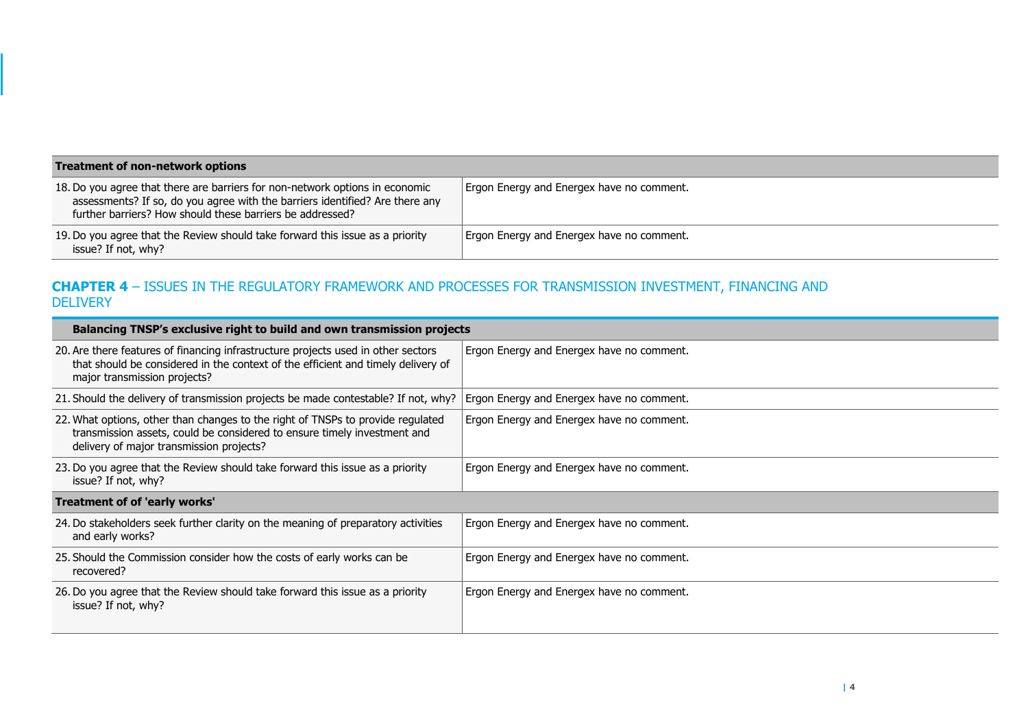| Treatment of non-network options                                                                                                                                                                                          |                                           |  |
|---------------------------------------------------------------------------------------------------------------------------------------------------------------------------------------------------------------------------|-------------------------------------------|--|
| 18. Do you agree that there are barriers for non-network options in economic<br>assessments? If so, do you agree with the barriers identified? Are there any<br>further barriers? How should these barriers be addressed? | Ergon Energy and Energex have no comment. |  |
| 19. Do you agree that the Review should take forward this issue as a priority<br>issue? If not, why?                                                                                                                      | Ergon Energy and Energex have no comment. |  |

## **CHAPTER 4** – ISSUES IN THE REGULATORY FRAMEWORK AND PROCESSES FOR TRANSMISSION INVESTMENT, FINANCING AND **DELIVERY**

| Balancing TNSP's exclusive right to build and own transmission projects                                                                                                                                 |                                           |  |
|---------------------------------------------------------------------------------------------------------------------------------------------------------------------------------------------------------|-------------------------------------------|--|
| 20. Are there features of financing infrastructure projects used in other sectors<br>that should be considered in the context of the efficient and timely delivery of<br>major transmission projects?   | Ergon Energy and Energex have no comment. |  |
| 21. Should the delivery of transmission projects be made contestable? If not, why?                                                                                                                      | Ergon Energy and Energex have no comment. |  |
| 22. What options, other than changes to the right of TNSPs to provide regulated<br>transmission assets, could be considered to ensure timely investment and<br>delivery of major transmission projects? | Ergon Energy and Energex have no comment. |  |
| 23. Do you agree that the Review should take forward this issue as a priority<br>issue? If not, why?                                                                                                    | Ergon Energy and Energex have no comment. |  |
| Treatment of of 'early works'                                                                                                                                                                           |                                           |  |
| 24. Do stakeholders seek further clarity on the meaning of preparatory activities<br>and early works?                                                                                                   | Ergon Energy and Energex have no comment. |  |
| 25. Should the Commission consider how the costs of early works can be<br>recovered?                                                                                                                    | Ergon Energy and Energex have no comment. |  |
| 26. Do you agree that the Review should take forward this issue as a priority<br>issue? If not, why?                                                                                                    | Ergon Energy and Energex have no comment. |  |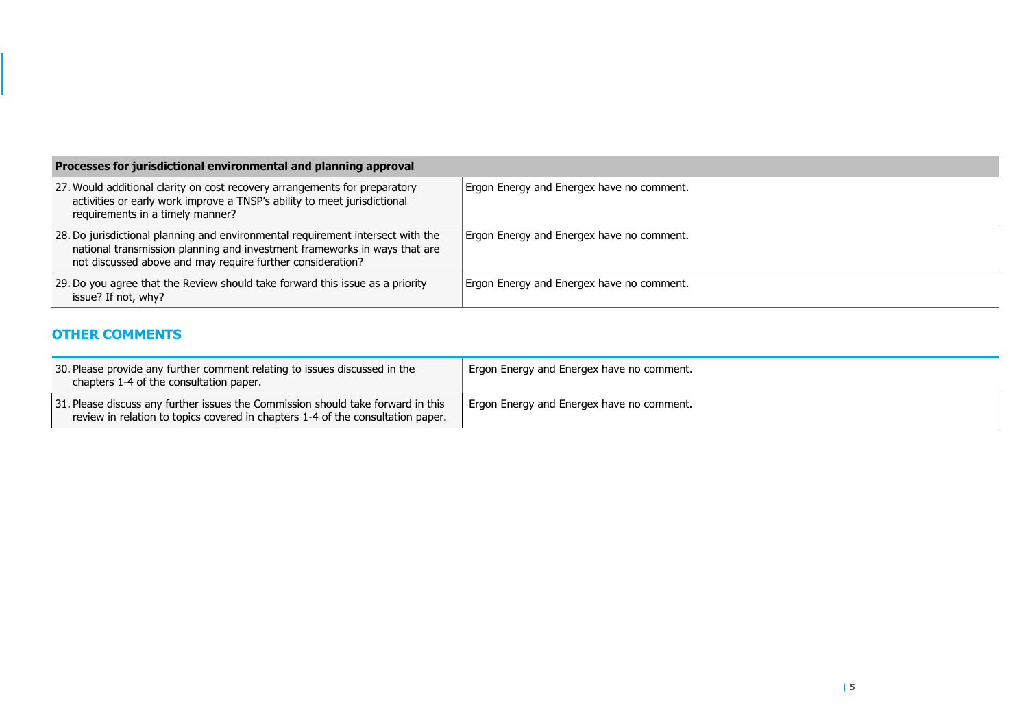| Processes for jurisdictional environmental and planning approval                                                                                                                                                           |                                           |
|----------------------------------------------------------------------------------------------------------------------------------------------------------------------------------------------------------------------------|-------------------------------------------|
| 27. Would additional clarity on cost recovery arrangements for preparatory<br>activities or early work improve a TNSP's ability to meet jurisdictional<br>requirements in a timely manner?                                 | Ergon Energy and Energex have no comment. |
| 28. Do jurisdictional planning and environmental requirement intersect with the<br>national transmission planning and investment frameworks in ways that are<br>not discussed above and may require further consideration? | Ergon Energy and Energex have no comment. |
| 29. Do you agree that the Review should take forward this issue as a priority<br>issue? If not, why?                                                                                                                       | Ergon Energy and Energex have no comment. |

## **OTHER COMMENTS**

| 30. Please provide any further comment relating to issues discussed in the<br>chapters 1-4 of the consultation paper.                                               | Ergon Energy and Energex have no comment. |
|---------------------------------------------------------------------------------------------------------------------------------------------------------------------|-------------------------------------------|
| 31. Please discuss any further issues the Commission should take forward in this<br>review in relation to topics covered in chapters 1-4 of the consultation paper. | Ergon Energy and Energex have no comment. |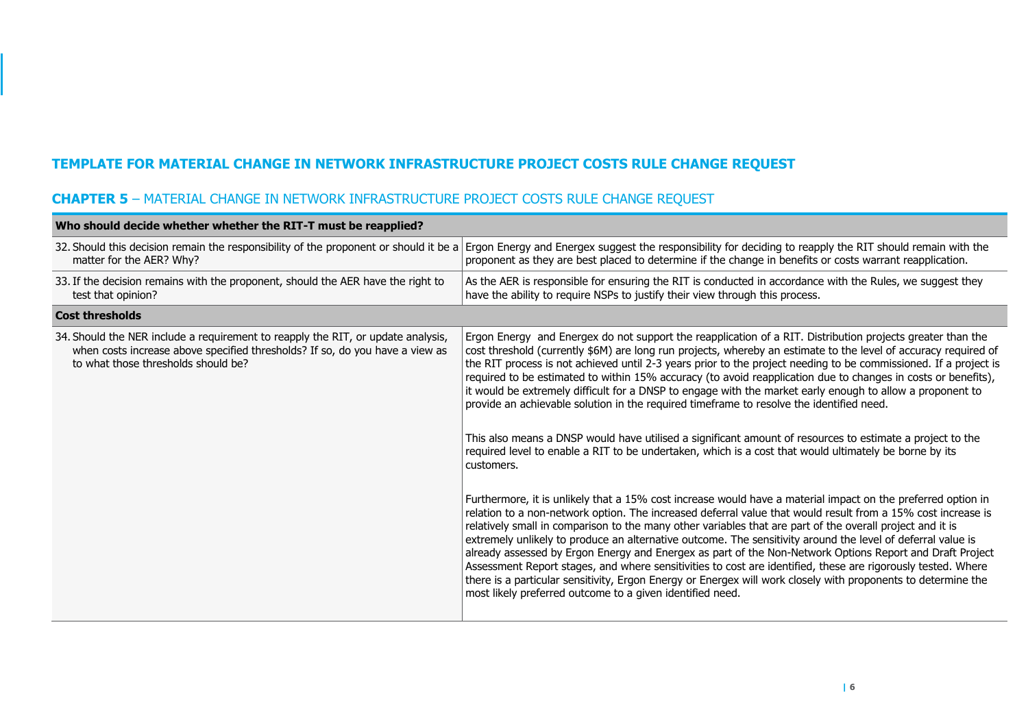## **TEMPLATE FOR MATERIAL CHANGE IN NETWORK INFRASTRUCTURE PROJECT COSTS RULE CHANGE REQUEST**

## **CHAPTER 5** – MATERIAL CHANGE IN NETWORK INFRASTRUCTURE PROJECT COSTS RULE CHANGE REQUEST

| Who should decide whether whether the RIT-T must be reapplied?                                                                                                                                          |                                                                                                                                                                                                                                                                                                                                                                                                                                                                                                                                                                                                                                                                                                                                                                                                                                                                                                                                                                                                                                                                                                                                                                                                                                                                                                                                                                                                                                                                                                                                                                                                                                                                                                                                                                                        |
|---------------------------------------------------------------------------------------------------------------------------------------------------------------------------------------------------------|----------------------------------------------------------------------------------------------------------------------------------------------------------------------------------------------------------------------------------------------------------------------------------------------------------------------------------------------------------------------------------------------------------------------------------------------------------------------------------------------------------------------------------------------------------------------------------------------------------------------------------------------------------------------------------------------------------------------------------------------------------------------------------------------------------------------------------------------------------------------------------------------------------------------------------------------------------------------------------------------------------------------------------------------------------------------------------------------------------------------------------------------------------------------------------------------------------------------------------------------------------------------------------------------------------------------------------------------------------------------------------------------------------------------------------------------------------------------------------------------------------------------------------------------------------------------------------------------------------------------------------------------------------------------------------------------------------------------------------------------------------------------------------------|
| 32. Should this decision remain the responsibility of the proponent or should it be a<br>matter for the AER? Why?                                                                                       | Ergon Energy and Energex suggest the responsibility for deciding to reapply the RIT should remain with the<br>proponent as they are best placed to determine if the change in benefits or costs warrant reapplication.                                                                                                                                                                                                                                                                                                                                                                                                                                                                                                                                                                                                                                                                                                                                                                                                                                                                                                                                                                                                                                                                                                                                                                                                                                                                                                                                                                                                                                                                                                                                                                 |
| 33. If the decision remains with the proponent, should the AER have the right to<br>test that opinion?                                                                                                  | As the AER is responsible for ensuring the RIT is conducted in accordance with the Rules, we suggest they<br>have the ability to require NSPs to justify their view through this process.                                                                                                                                                                                                                                                                                                                                                                                                                                                                                                                                                                                                                                                                                                                                                                                                                                                                                                                                                                                                                                                                                                                                                                                                                                                                                                                                                                                                                                                                                                                                                                                              |
| <b>Cost thresholds</b>                                                                                                                                                                                  |                                                                                                                                                                                                                                                                                                                                                                                                                                                                                                                                                                                                                                                                                                                                                                                                                                                                                                                                                                                                                                                                                                                                                                                                                                                                                                                                                                                                                                                                                                                                                                                                                                                                                                                                                                                        |
| 34. Should the NER include a requirement to reapply the RIT, or update analysis,<br>when costs increase above specified thresholds? If so, do you have a view as<br>to what those thresholds should be? | Ergon Energy and Energex do not support the reapplication of a RIT. Distribution projects greater than the<br>cost threshold (currently \$6M) are long run projects, whereby an estimate to the level of accuracy required of<br>the RIT process is not achieved until 2-3 years prior to the project needing to be commissioned. If a project is<br>required to be estimated to within 15% accuracy (to avoid reapplication due to changes in costs or benefits),<br>it would be extremely difficult for a DNSP to engage with the market early enough to allow a proponent to<br>provide an achievable solution in the required timeframe to resolve the identified need.<br>This also means a DNSP would have utilised a significant amount of resources to estimate a project to the<br>required level to enable a RIT to be undertaken, which is a cost that would ultimately be borne by its<br>customers.<br>Furthermore, it is unlikely that a 15% cost increase would have a material impact on the preferred option in<br>relation to a non-network option. The increased deferral value that would result from a 15% cost increase is<br>relatively small in comparison to the many other variables that are part of the overall project and it is<br>extremely unlikely to produce an alternative outcome. The sensitivity around the level of deferral value is<br>already assessed by Ergon Energy and Energex as part of the Non-Network Options Report and Draft Project<br>Assessment Report stages, and where sensitivities to cost are identified, these are rigorously tested. Where<br>there is a particular sensitivity, Ergon Energy or Energex will work closely with proponents to determine the<br>most likely preferred outcome to a given identified need. |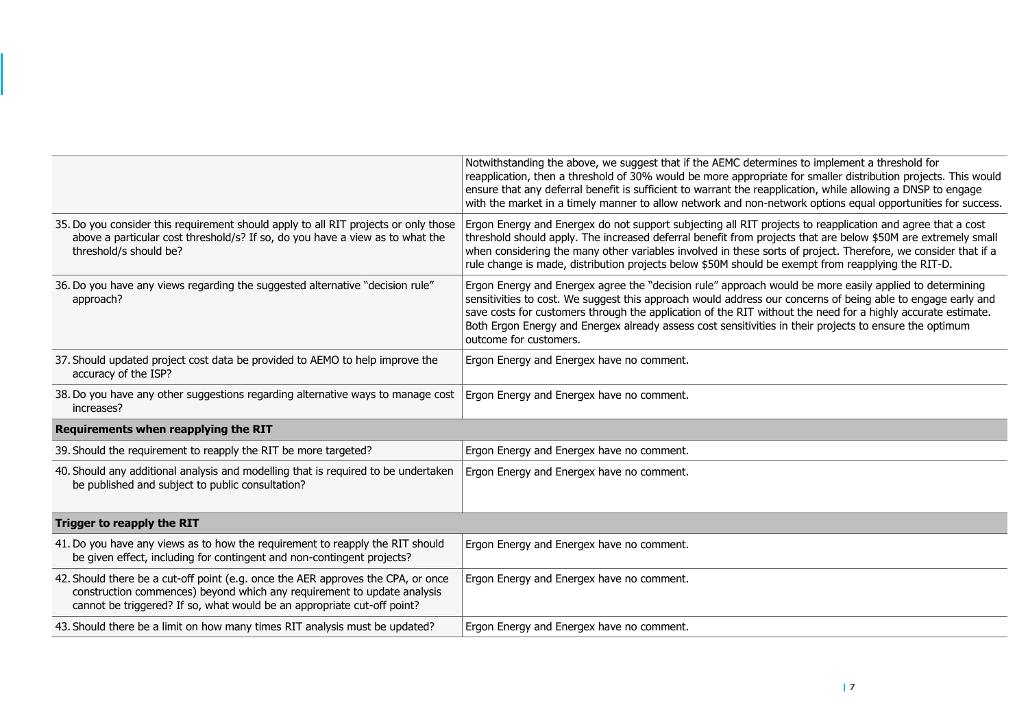|                                                                                                                                                                                                                                        | Notwithstanding the above, we suggest that if the AEMC determines to implement a threshold for<br>reapplication, then a threshold of 30% would be more appropriate for smaller distribution projects. This would<br>ensure that any deferral benefit is sufficient to warrant the reapplication, while allowing a DNSP to engage<br>with the market in a timely manner to allow network and non-network options equal opportunities for success.                             |
|----------------------------------------------------------------------------------------------------------------------------------------------------------------------------------------------------------------------------------------|------------------------------------------------------------------------------------------------------------------------------------------------------------------------------------------------------------------------------------------------------------------------------------------------------------------------------------------------------------------------------------------------------------------------------------------------------------------------------|
| 35. Do you consider this requirement should apply to all RIT projects or only those<br>above a particular cost threshold/s? If so, do you have a view as to what the<br>threshold/s should be?                                         | Ergon Energy and Energex do not support subjecting all RIT projects to reapplication and agree that a cost<br>threshold should apply. The increased deferral benefit from projects that are below \$50M are extremely small<br>when considering the many other variables involved in these sorts of project. Therefore, we consider that if a<br>rule change is made, distribution projects below \$50M should be exempt from reapplying the RIT-D.                          |
| 36. Do you have any views regarding the suggested alternative "decision rule"<br>approach?                                                                                                                                             | Ergon Energy and Energex agree the "decision rule" approach would be more easily applied to determining<br>sensitivities to cost. We suggest this approach would address our concerns of being able to engage early and<br>save costs for customers through the application of the RIT without the need for a highly accurate estimate.<br>Both Ergon Energy and Energex already assess cost sensitivities in their projects to ensure the optimum<br>outcome for customers. |
| 37. Should updated project cost data be provided to AEMO to help improve the<br>accuracy of the ISP?                                                                                                                                   | Ergon Energy and Energex have no comment.                                                                                                                                                                                                                                                                                                                                                                                                                                    |
| 38. Do you have any other suggestions regarding alternative ways to manage cost<br>increases?                                                                                                                                          | Ergon Energy and Energex have no comment.                                                                                                                                                                                                                                                                                                                                                                                                                                    |
| Requirements when reapplying the RIT                                                                                                                                                                                                   |                                                                                                                                                                                                                                                                                                                                                                                                                                                                              |
| 39. Should the requirement to reapply the RIT be more targeted?                                                                                                                                                                        | Ergon Energy and Energex have no comment.                                                                                                                                                                                                                                                                                                                                                                                                                                    |
| 40. Should any additional analysis and modelling that is required to be undertaken<br>be published and subject to public consultation?                                                                                                 | Ergon Energy and Energex have no comment.                                                                                                                                                                                                                                                                                                                                                                                                                                    |
| Trigger to reapply the RIT                                                                                                                                                                                                             |                                                                                                                                                                                                                                                                                                                                                                                                                                                                              |
| 41. Do you have any views as to how the requirement to reapply the RIT should<br>be given effect, including for contingent and non-contingent projects?                                                                                | Ergon Energy and Energex have no comment.                                                                                                                                                                                                                                                                                                                                                                                                                                    |
| 42. Should there be a cut-off point (e.g. once the AER approves the CPA, or once<br>construction commences) beyond which any requirement to update analysis<br>cannot be triggered? If so, what would be an appropriate cut-off point? | Ergon Energy and Energex have no comment.                                                                                                                                                                                                                                                                                                                                                                                                                                    |
| 43. Should there be a limit on how many times RIT analysis must be updated?                                                                                                                                                            | Ergon Energy and Energex have no comment.                                                                                                                                                                                                                                                                                                                                                                                                                                    |